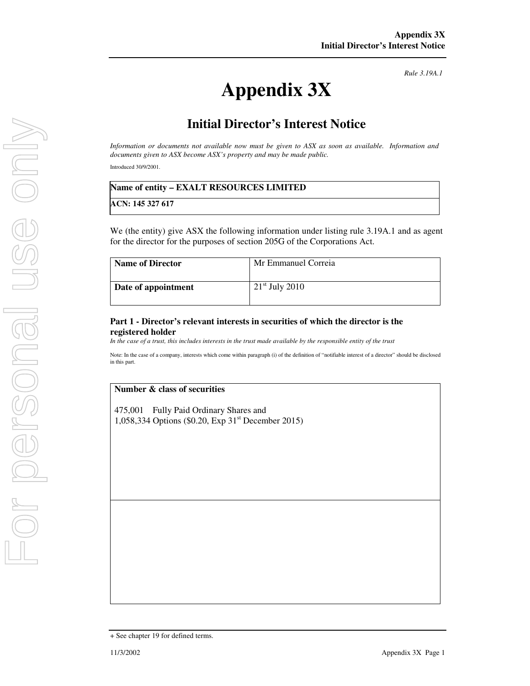*Rule 3.19A.1*

# **Appendix 3X**

# **Initial Director's Interest Notice**

*Information or documents not available now must be given to ASX as soon as available. Information and documents given to ASX become ASX's property and may be made public.* 

Introduced 30/9/2001.

### **Name of entity – EXALT RESOURCES LIMITED**

**ACN: 145 327 617**

We (the entity) give ASX the following information under listing rule 3.19A.1 and as agent for the director for the purposes of section 205G of the Corporations Act.

| <b>Name of Director</b> | Mr Emmanuel Correia |
|-------------------------|---------------------|
| Date of appointment     | $21st$ July 2010    |

#### **Part 1 - Director's relevant interests in securities of which the director is the registered holder**

*In the case of a trust, this includes interests in the trust made available by the responsible entity of the trust* 

Note: In the case of a company, interests which come within paragraph (i) of the definition of "notifiable interest of a director" should be disclosed in this part.

#### **Number & class of securities**

475,001 Fully Paid Ordinary Shares and 1,058,334 Options (\$0.20, Exp 31st December 2015)

<sup>+</sup> See chapter 19 for defined terms.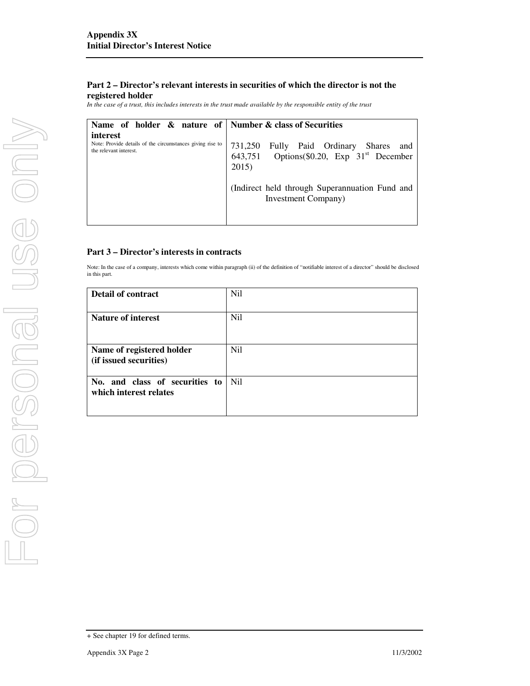## **Part 2 – Director's relevant interests in securities of which the director is not the registered holder**

*In the case of a trust, this includes interests in the trust made available by the responsible entity of the trust*

| Name of holder & nature of   Number & class of Securities                                       |                                                                                                          |
|-------------------------------------------------------------------------------------------------|----------------------------------------------------------------------------------------------------------|
| interest<br>Note: Provide details of the circumstances giving rise to<br>the relevant interest. | 731,250 Fully Paid Ordinary Shares and<br>643,751 Options(\$0.20, Exp 31 <sup>st</sup> December<br>2015) |
|                                                                                                 | (Indirect held through Superannuation Fund and<br>Investment Company)                                    |

### **Part 3 – Director's interests in contracts**

Note: In the case of a company, interests which come within paragraph (ii) of the definition of "notifiable interest of a director" should be disclosed in this part.

| <b>Detail of contract</b>                                | Nil |
|----------------------------------------------------------|-----|
| <b>Nature of interest</b>                                | Nil |
| Name of registered holder<br>(if issued securities)      | Ni1 |
| No. and class of securities to<br>which interest relates | Ni1 |

<sup>+</sup> See chapter 19 for defined terms.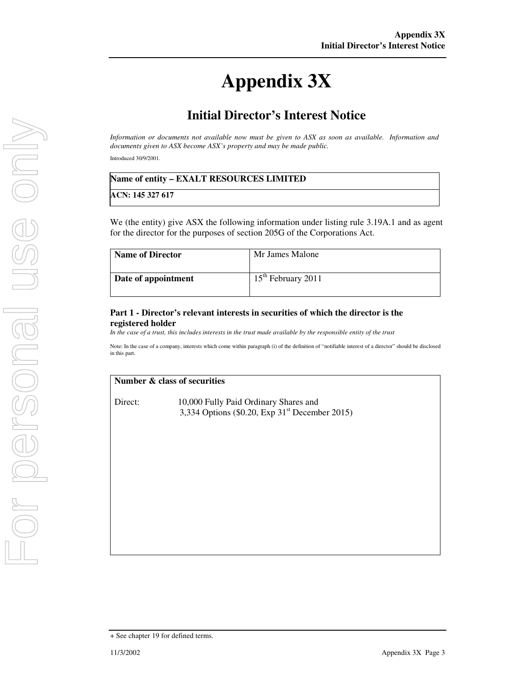# **Appendix 3X**

# **Initial Director's Interest Notice**

*Information or documents not available now must be given to ASX as soon as available. Information and documents given to ASX become ASX's property and may be made public.*  Introduced 30/9/2001.

| Name of entity - EXALT RESOURCES LIMITED |  |
|------------------------------------------|--|
| ACN: 145 327 617                         |  |

We (the entity) give ASX the following information under listing rule 3.19A.1 and as agent for the director for the purposes of section 205G of the Corporations Act.

| <b>Name of Director</b> | Mr James Malone      |
|-------------------------|----------------------|
| Date of appointment     | $15th$ February 2011 |

## **Part 1 - Director's relevant interests in securities of which the director is the registered holder**

*In the case of a trust, this includes interests in the trust made available by the responsible entity of the trust*

Note: In the case of a company, interests which come within paragraph (i) of the definition of "notifiable interest of a director" should be disclosed in this part.

#### **Number & class of securities**

Direct: 10,000 Fully Paid Ordinary Shares and 3,334 Options (\$0.20, Exp  $31<sup>st</sup>$  December 2015)

<sup>+</sup> See chapter 19 for defined terms.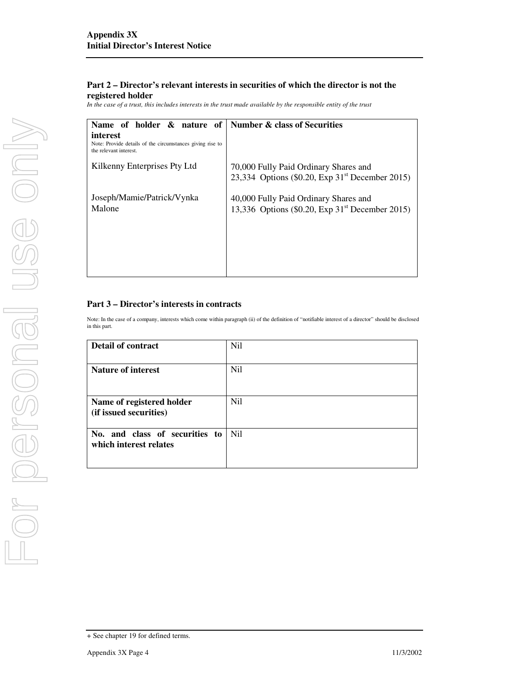## **Part 2 – Director's relevant interests in securities of which the director is not the registered holder**

*In the case of a trust, this includes interests in the trust made available by the responsible entity of the trust*

| Name of holder & nature of                                                                      | <b>Number &amp; class of Securities</b>                                                              |
|-------------------------------------------------------------------------------------------------|------------------------------------------------------------------------------------------------------|
| interest<br>Note: Provide details of the circumstances giving rise to<br>the relevant interest. |                                                                                                      |
| Kilkenny Enterprises Pty Ltd                                                                    | 70,000 Fully Paid Ordinary Shares and<br>23,334 Options (\$0.20, Exp $31st$ December 2015)           |
| Joseph/Mamie/Patrick/Vynka<br>Malone                                                            | 40,000 Fully Paid Ordinary Shares and<br>13,336 Options (\$0.20, Exp 31 <sup>st</sup> December 2015) |
|                                                                                                 |                                                                                                      |

# **Part 3 – Director's interests in contracts**

Note: In the case of a company, interests which come within paragraph (ii) of the definition of "notifiable interest of a director" should be disclosed in this part.

| Detail of contract                                       | Nil              |
|----------------------------------------------------------|------------------|
| <b>Nature of interest</b>                                | Nil              |
| Name of registered holder<br>(if issued securities)      | Nil              |
| No. and class of securities to<br>which interest relates | N <sub>i</sub> l |

<sup>+</sup> See chapter 19 for defined terms.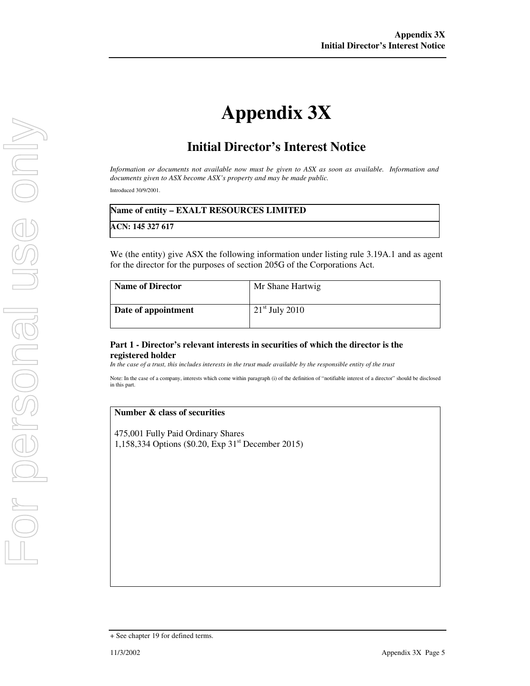# **Appendix 3X**

# **Initial Director's Interest Notice**

*Information or documents not available now must be given to ASX as soon as available. Information and documents given to ASX become ASX's property and may be made public.* 

Introduced 30/9/2001.

| Name of entity - EXALT RESOURCES LIMITED |
|------------------------------------------|
| ACN: 145 327 617                         |

We (the entity) give ASX the following information under listing rule 3.19A.1 and as agent for the director for the purposes of section 205G of the Corporations Act.

| <b>Name of Director</b> | Mr Shane Hartwig |
|-------------------------|------------------|
| Date of appointment     | $21st$ July 2010 |

#### **Part 1 - Director's relevant interests in securities of which the director is the registered holder**

*In the case of a trust, this includes interests in the trust made available by the responsible entity of the trust* 

Note: In the case of a company, interests which come within paragraph (i) of the definition of "notifiable interest of a director" should be disclosed in this part.

#### **Number & class of securities**

475,001 Fully Paid Ordinary Shares 1,158,334 Options (\$0.20, Exp 31st December 2015)

<sup>+</sup> See chapter 19 for defined terms.